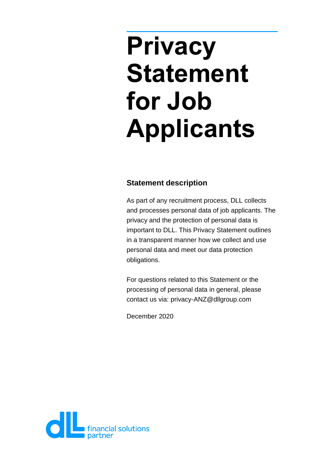# **Privacy Statement for Job Applicants**

## **Statement description**

As part of any recruitment process, DLL collects and processes personal data of job applicants. The privacy and the protection of personal data is important to DLL. This Privacy Statement outlines in a transparent manner how we collect and use personal data and meet our data protection obligations.

For questions related to this Statement or the processing of personal data in general, please contact us via: privacy-ANZ@dllgroup.com

December 2020

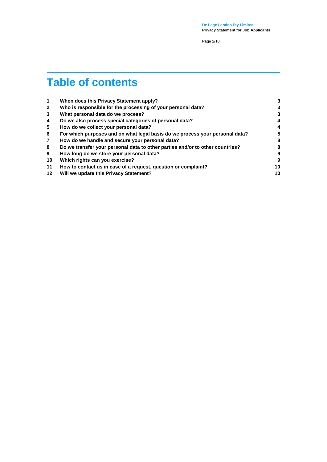**De Lage Landen Pty Limited Privacy Statement for Job Applicants**

Page 2/10

## **Table of contents**

| 1              | When does this Privacy Statement apply?                                       | 3  |
|----------------|-------------------------------------------------------------------------------|----|
| $\mathbf{2}$   | Who is responsible for the processing of your personal data?                  | 3  |
| 3              | What personal data do we process?                                             | 3  |
| 4              | Do we also process special categories of personal data?                       | 4  |
| 5              | How do we collect your personal data?                                         | 4  |
| 6              | For which purposes and on what legal basis do we process your personal data?  | 5  |
| $\overline{7}$ | How do we handle and secure your personal data?                               | 8  |
| 8              | Do we transfer your personal data to other parties and/or to other countries? | 8  |
| 9              | How long do we store your personal data?                                      | 9  |
| 10             | Which rights can you exercise?                                                | 9  |
| 11             | How to contact us in case of a request, question or complaint?                | 10 |
| $12 \,$        | Will we update this Privacy Statement?                                        | 10 |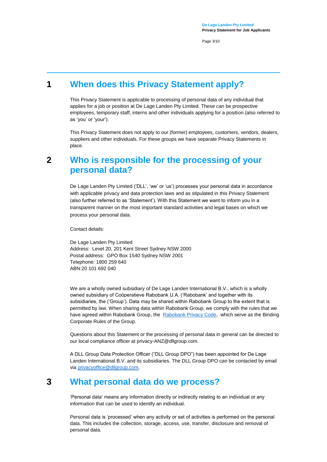Page 3/10

## **1 When does this Privacy Statement apply?**

<span id="page-2-0"></span>This Privacy Statement is applicable to processing of personal data of any individual that applies for a job or position at De Lage Landen Pty Limited. These can be prospective employees, temporary staff, interns and other individuals applying for a position (also referred to as 'you' or 'your').

This Privacy Statement does not apply to our (former) employees, customers, vendors, dealers, suppliers and other individuals. For these groups we have separate Privacy Statements in place.

## <span id="page-2-1"></span>**2 Who is responsible for the processing of your personal data?**

De Lage Landen Pty Limited ('DLL', 'we' or 'us') processes your personal data in accordance with applicable privacy and data protection laws and as stipulated in this Privacy Statement (also further referred to as 'Statement'). With this Statement we want to inform you in a transparent manner on the most important standard activities and legal bases on which we process your personal data.

Contact details:

De Lage Landen Pty Limited Address: Level 20, 201 Kent Street Sydney NSW 2000 Postal address: GPO Box 1540 Sydney NSW 2001 Telephone: 1800 259 640 ABN:20 101 692 040

We are a wholly owned subsidiary of De Lage Landen International B.V., which is a wholly owned subsidiary of Coöperatieve Rabobank U.A. ('Rabobank' and together with its subsidiaries, the ('Group'). Data may be shared within Rabobank Group to the extent that is permitted by law. When sharing data within Rabobank Group, we comply with the rules that we have agreed within Rabobank Group, the [Rabobank Privacy Code,](https://www.rabobank.nl/images/privacy-code-nl_29958964.pdf) which serve as the Binding Corporate Rules of the Group.

Questions about this Statement or the processing of personal data in general can be directed to our local compliance officer at privacy-ANZ@dllgroup.com.

A DLL Group Data Protection Officer ("DLL Group DPO") has been appointed for De Lage Landen International B.V. and its subsidiaries. The DLL Group DPO can be contacted by email vi[a privacyoffice@dllgroup.com.](mailto:privacyoffice@dllgroup.com)

## **3 What personal data do we process?**

<span id="page-2-2"></span>'Personal data' means any information directly or indirectly relating to an individual or any information that can be used to identify an individual.

Personal data is 'processed' when any activity or set of activities is performed on the personal data. This includes the collection, storage, access, use, transfer, disclosure and removal of personal data.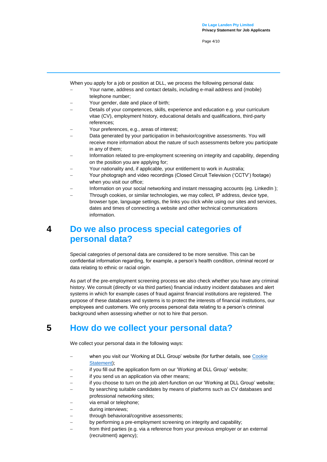Page 4/10

When you apply for a job or position at DLL, we process the following personal data:

- Your name, address and contact details, including e-mail address and (mobile) telephone number;
- Your gender, date and place of birth;
- Details of your competences, skills, experience and education e.g. your curriculum vitae (CV), employment history, educational details and qualifications, third-party references;
- Your preferences, e.g., areas of interest;
- Data generated by your participation in behavior/cognitive assessments. You will receive more information about the nature of such assessments before you participate in any of them;
- Information related to pre-employment screening on integrity and capability, depending on the position you are applying for;
- Your nationality and, if applicable, your entitlement to work in Australia;
- Your photograph and video recordings (Closed Circuit Television ('CCTV') footage) when you visit our office;
- Information on your social networking and instant messaging accounts (eg. LinkedIn);
- Through cookies, or similar technologies, we may collect, IP address, device type, browser type, language settings, the links you click while using our sites and services, dates and times of connecting a website and other technical communications information.

## <span id="page-3-0"></span>**4 Do we also process special categories of personal data?**

Special categories of personal data are considered to be more sensitive. This can be confidential information regarding, for example, a person's health condition, criminal record or data relating to ethnic or racial origin.

As part of the pre-employment screening process we also check whether you have any criminal history. We consult (directly or via third parties) financial industry incident databases and alert systems in which for example cases of fraud against financial institutions are registered. The purpose of these databases and systems is to protect the interests of financial institutions, our employees and customers. We only process personal data relating to a person's criminal background when assessing whether or not to hire that person.

## **5 How do we collect your personal data?**

<span id="page-3-1"></span>We collect your personal data in the following ways:

- when you visit our 'Working at DLL Group' website (for further details, see Cookie [Statement\)](https://www.dllgroup.com/en/cookie-statement);
- if you fill out the application form on our 'Working at DLL Group' website;
- if you send us an application via other means;
- if you choose to turn on the job alert-function on our 'Working at DLL Group' website;
- by searching suitable candidates by means of platforms such as CV databases and professional networking sites;
- via email or telephone;
- during interviews;
- through behavioral/cognitive assessments;
- by performing a pre-employment screening on integrity and capability;
- from third parties (e.g. via a reference from your previous employer or an external (recruitment) agency);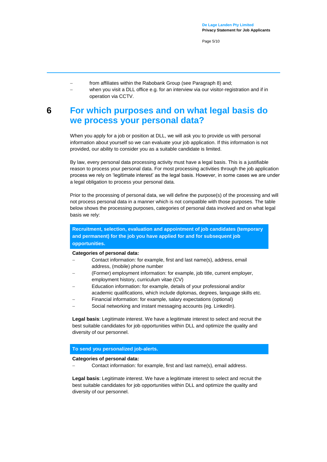Page 5/10

- from affiliates within the Rabobank Group (see Paragraph 8) and;
	- when you visit a DLL office e.g. for an interview via our visitor-registration and if in operation via CCTV.

## <span id="page-4-0"></span>**6 For which purposes and on what legal basis do we process your personal data?**

When you apply for a job or position at DLL, we will ask you to provide us with personal information about yourself so we can evaluate your job application. If this information is not provided, our ability to consider you as a suitable candidate is limited.

By law, every personal data processing activity must have a legal basis. This is a justifiable reason to process your personal data. For most processing activities through the job application process we rely on 'legitimate interest' as the legal basis. However, in some cases we are under a legal obligation to process your personal data.

Prior to the processing of personal data, we will define the purpose(s) of the processing and will not process personal data in a manner which is not compatible with those purposes. The table below shows the processing purposes, categories of personal data involved and on what legal basis we rely:

**Recruitment, selection, evaluation and appointment of job candidates (temporary and permanent) for the job you have applied for and for subsequent job opportunities.**

#### **Categories of personal data:**

- Contact information: for example, first and last name(s), address, email address, (mobile) phone number
- (Former) employment information: for example, job title, current employer, employment history, curriculum vitae (CV)
- Education information: for example, details of your professional and/or academic qualifications, which include diplomas, degrees, language skills etc.
- Financial information: for example, salary expectations (optional)
- Social networking and instant messaging accounts (eg. LinkedIn).

**Legal basis**: Legitimate interest. We have a legitimate interest to select and recruit the best suitable candidates for job opportunities within DLL and optimize the quality and diversity of our personnel.

#### **To send you personalized job-alerts.**

#### **Categories of personal data:**

Contact information: for example, first and last name(s), email address.

**Legal basis**: Legitimate interest. We have a legitimate interest to select and recruit the best suitable candidates for job opportunities within DLL and optimize the quality and diversity of our personnel.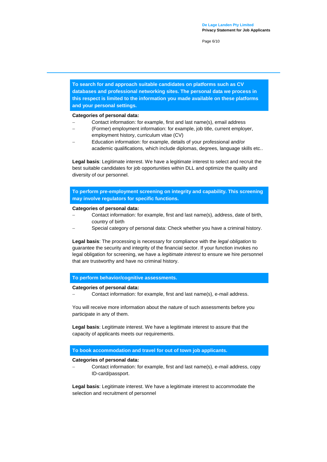Page 6/10

**To search for and approach suitable candidates on platforms such as CV databases and professional networking sites. The personal data we process in this respect is limited to the information you made available on these platforms and your personal settings.**

#### **Categories of personal data:**

- Contact information: for example, first and last name(s), email address
- (Former) employment information: for example, job title, current employer, employment history, curriculum vitae (CV)
- Education information: for example, details of your professional and/or academic qualifications, which include diplomas, degrees, language skills etc..

**Legal basis**: Legitimate interest. We have a legitimate interest to select and recruit the best suitable candidates for job opportunities within DLL and optimize the quality and diversity of our personnel.

**To perform pre-employment screening on integrity and capability. This screening may involve regulators for specific functions.**

#### **Categories of personal data:**

- Contact information: for example, first and last name(s), address, date of birth, country of birth
- Special category of personal data: Check whether you have a criminal history.

**Legal basis**: The processing is necessary for compliance with the *legal obligation* to guarantee the security and integrity of the financial sector. If your function invokes no legal obligation for screening, we have a *legitimate interest* to ensure we hire personnel that are trustworthy and have no criminal history.

#### **To perform behavior/cognitive assessments.**

#### **Categories of personal data:**

Contact information: for example, first and last name(s), e-mail address.

You will receive more information about the nature of such assessments before you participate in any of them.

**Legal basis**: Legitimate interest. We have a legitimate interest to assure that the capacity of applicants meets our requirements.

#### **To book accommodation and travel for out of town job applicants.**

#### **Categories of personal data:**

 Contact information: for example, first and last name(s), e-mail address, copy ID-card/passport.

**Legal basis**: Legitimate interest. We have a legitimate interest to accommodate the selection and recruitment of personnel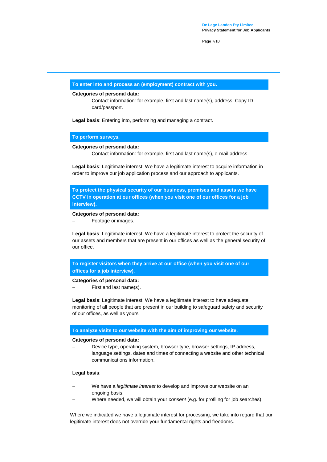Page 7/10

#### **To enter into and process an (employment) contract with you.**

#### **Categories of personal data:**

 Contact information: for example, first and last name(s), address, Copy IDcard/passport.

**Legal basis**: Entering into, performing and managing a contract.

#### **To perform surveys.**

#### **Categories of personal data:**

Contact information: for example, first and last name(s), e-mail address.

**Legal basis**: Legitimate interest. We have a legitimate interest to acquire information in order to improve our job application process and our approach to applicants.

**To protect the physical security of our business, premises and assets we have CCTV in operation at our offices (when you visit one of our offices for a job interview).** 

#### **Categories of personal data:**

Footage or images.

**Legal basis**: Legitimate interest. We have a legitimate interest to protect the security of our assets and members that are present in our offices as well as the general security of our office.

**To register visitors when they arrive at our office (when you visit one of our offices for a job interview).**

#### **Categories of personal data:**

First and last name(s).

**Legal basis**: Legitimate interest. We have a legitimate interest to have adequate monitoring of all people that are present in our building to safeguard safety and security of our offices, as well as yours.

#### **To analyze visits to our website with the aim of improving our website.**

#### **Categories of personal data:**

 Device type, operating system, browser type, browser settings, IP address, language settings, dates and times of connecting a website and other technical communications information.

#### **Legal basis**:

- We have a *legitimate interest* to develop and improve our website on an ongoing basis.
- Where needed, we will obtain your *consent* (e.g. for profiling for job searches).

Where we indicated we have a legitimate interest for processing, we take into regard that our legitimate interest does not override your fundamental rights and freedoms.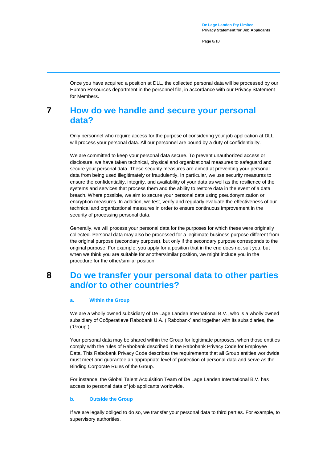Page 8/10

Once you have acquired a position at DLL, the collected personal data will be processed by our Human Resources department in the personnel file, in accordance with our Privacy Statement for Members.

## <span id="page-7-0"></span>**7 How do we handle and secure your personal data?**

Only personnel who require access for the purpose of considering your job application at DLL will process your personal data. All our personnel are bound by a duty of confidentiality.

We are committed to keep your personal data secure. To prevent unauthorized access or disclosure, we have taken technical, physical and organizational measures to safeguard and secure your personal data. These security measures are aimed at preventing your personal data from being used illegitimately or fraudulently. In particular, we use security measures to ensure the confidentiality, integrity, and availability of your data as well as the resilience of the systems and services that process them and the ability to restore data in the event of a data breach. Where possible, we aim to secure your personal data using pseudonymization or encryption measures. In addition, we test, verify and regularly evaluate the effectiveness of our technical and organizational measures in order to ensure continuous improvement in the security of processing personal data.

Generally, we will process your personal data for the purposes for which these were originally collected. Personal data may also be processed for a legitimate business purpose different from the original purpose (secondary purpose), but only if the secondary purpose corresponds to the original purpose. For example, you apply for a position that in the end does not suit you, but when we think you are suitable for another/similar position, we might include you in the procedure for the other/similar position.

## <span id="page-7-1"></span>**8 Do we transfer your personal data to other parties and/or to other countries?**

#### **a. Within the Group**

We are a wholly owned subsidiary of De Lage Landen International B.V., who is a wholly owned subsidiary of Coöperatieve Rabobank U.A. ('Rabobank' and together with its subsidiaries, the ('Group').

Your personal data may be shared within the Group for legitimate purposes, when those entities comply with the rules of Rabobank described in the Rabobank Privacy Code for Employee Data. This Rabobank Privacy Code describes the requirements that all Group entities worldwide must meet and guarantee an appropriate level of protection of personal data and serve as the Binding Corporate Rules of the Group.

For instance, the Global Talent Acquisition Team of De Lage Landen International B.V. has access to personal data of job applicants worldwide.

#### **b. Outside the Group**

If we are legally obliged to do so, we transfer your personal data to third parties. For example, to supervisory authorities.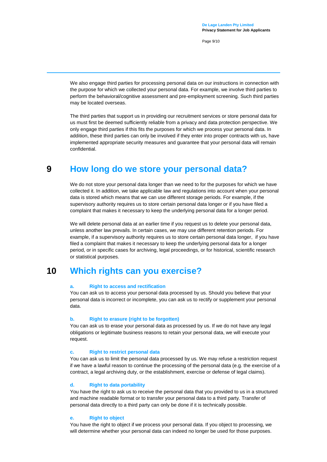Page 9/10

We also engage third parties for processing personal data on our instructions in connection with the purpose for which we collected your personal data. For example, we involve third parties to perform the behavioral/cognitive assessment and pre-employment screening. Such third parties may be located overseas.

The third parties that support us in providing our recruitment services or store personal data for us must first be deemed sufficiently reliable from a privacy and data protection perspective. We only engage third parties if this fits the purposes for which we process your personal data. In addition, these third parties can only be involved if they enter into proper contracts with us, have implemented appropriate security measures and guarantee that your personal data will remain confidential.

## **9 How long do we store your personal data?**

<span id="page-8-0"></span>We do not store your personal data longer than we need to for the purposes for which we have collected it. In addition, we take applicable law and regulations into account when your personal data is stored which means that we can use different storage periods. For example, if the supervisory authority requires us to store certain personal data longer or if you have filed a complaint that makes it necessary to keep the underlying personal data for a longer period.

We will delete personal data at an earlier time if you request us to delete your personal data, unless another law prevails. In certain cases, we may use different retention periods. For example, if a supervisory authority requires us to store certain personal data longer, if you have filed a complaint that makes it necessary to keep the underlying personal data for a longer period, or in specific cases for archiving, legal proceedings, or for historical, scientific research or statistical purposes.

### **10 Which rights can you exercise?**

#### <span id="page-8-1"></span>**a. Right to access and rectification**

You can ask us to access your personal data processed by us. Should you believe that your personal data is incorrect or incomplete, you can ask us to rectify or supplement your personal data.

#### **b. Right to erasure (right to be forgotten)**

You can ask us to erase your personal data as processed by us. If we do not have any legal obligations or legitimate business reasons to retain your personal data, we will execute your request.

#### **c. Right to restrict personal data**

You can ask us to limit the personal data processed by us. We may refuse a restriction request if we have a lawful reason to continue the processing of the personal data (e.g. the exercise of a contract, a legal archiving duty, or the establishment, exercise or defense of legal claims).

#### **d. Right to data portability**

You have the right to ask us to receive the personal data that you provided to us in a structured and machine readable format or to transfer your personal data to a third party. Transfer of personal data directly to a third party can only be done if it is technically possible.

#### **e. Right to object**

You have the right to object if we process your personal data. If you object to processing, we will determine whether your personal data can indeed no longer be used for those purposes.